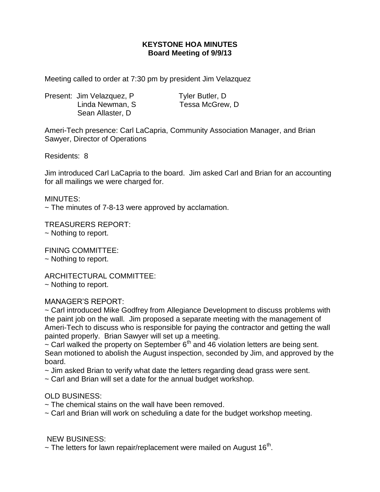## **KEYSTONE HOA MINUTES Board Meeting of 9/9/13**

Meeting called to order at 7:30 pm by president Jim Velazquez

Present: Jim Velazquez, P Tyler Butler, D Linda Newman, S Tessa McGrew, D Sean Allaster, D

Ameri-Tech presence: Carl LaCapria, Community Association Manager, and Brian Sawyer, Director of Operations

Residents: 8

Jim introduced Carl LaCapria to the board. Jim asked Carl and Brian for an accounting for all mailings we were charged for.

MINUTES:

 $\sim$  The minutes of 7-8-13 were approved by acclamation.

TREASURERS REPORT: ~ Nothing to report.

FINING COMMITTEE:

~ Nothing to report.

ARCHITECTURAL COMMITTEE: ~ Nothing to report.

## MANAGER'S REPORT:

~ Carl introduced Mike Godfrey from Allegiance Development to discuss problems with the paint job on the wall. Jim proposed a separate meeting with the management of Ameri-Tech to discuss who is responsible for paying the contractor and getting the wall painted properly. Brian Sawyer will set up a meeting.

 $\sim$  Carl walked the property on September 6<sup>th</sup> and 46 violation letters are being sent. Sean motioned to abolish the August inspection, seconded by Jim, and approved by the board.

~ Jim asked Brian to verify what date the letters regarding dead grass were sent.

~ Carl and Brian will set a date for the annual budget workshop.

## OLD BUSINESS:

~ The chemical stains on the wall have been removed.

~ Carl and Brian will work on scheduling a date for the budget workshop meeting.

## NEW BUSINESS:

 $\sim$  The letters for lawn repair/replacement were mailed on August 16<sup>th</sup>.